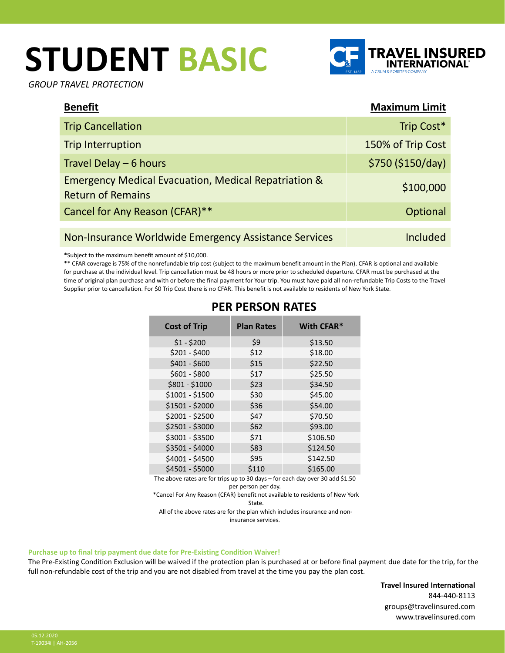# **STUDENT BASIC**



*GROUP TRAVEL PROTECTION*

| <b>Benefit</b>                                                                              | <b>Maximum Limit</b> |
|---------------------------------------------------------------------------------------------|----------------------|
| <b>Trip Cancellation</b>                                                                    | Trip Cost*           |
| Trip Interruption                                                                           | 150% of Trip Cost    |
| Travel Delay - 6 hours                                                                      | \$750 (\$150/day)    |
| <b>Emergency Medical Evacuation, Medical Repatriation &amp;</b><br><b>Return of Remains</b> | \$100,000            |
| Cancel for Any Reason (CFAR)**                                                              | Optional             |
| Non-Insurance Worldwide Emergency Assistance Services                                       | Included             |

\*Subject to the maximum benefit amount of \$10,000.

\*\* CFAR coverage is 75% of the nonrefundable trip cost (subject to the maximum benefit amount in the Plan). CFAR is optional and available for purchase at the individual level. Trip cancellation must be 48 hours or more prior to scheduled departure. CFAR must be purchased at the time of original plan purchase and with or before the final payment for Your trip. You must have paid all non-refundable Trip Costs to the Travel Supplier prior to cancellation. For \$0 Trip Cost there is no CFAR. This benefit is not available to residents of New York State.

| <b>Cost of Trip</b> | <b>Plan Rates</b> | With CFAR* |
|---------------------|-------------------|------------|
| $$1 - $200$         | \$9               | \$13.50    |
| $$201 - $400$       | \$12              | \$18.00    |
| $$401 - $600$       | \$15              | \$22.50    |
| $$601 - $800$       | \$17              | \$25.50    |
| \$801 - \$1000      | \$23              | \$34.50    |
| \$1001 - \$1500     | \$30              | \$45.00    |
| \$1501 - \$2000     | \$36              | \$54.00    |
| \$2001 - \$2500     | \$47              | \$70.50    |
| \$2501 - \$3000     | \$62              | \$93.00    |
| \$3001 - \$3500     | \$71              | \$106.50   |
| \$3501 - \$4000     | \$83              | \$124.50   |
| \$4001 - \$4500     | \$95              | \$142.50   |
| \$4501 - \$5000     | \$110             | \$165.00   |

## **PER PERSON RATES**

The above rates are for trips up to 30 days – for each day over 30 add \$1.50 per person per day.

\*Cancel For Any Reason (CFAR) benefit not available to residents of New York State.

All of the above rates are for the plan which includes insurance and noninsurance services.

#### **Purchase up to final trip payment due date for Pre-Existing Condition Waiver!**

The Pre-Existing Condition Exclusion will be waived if the protection plan is purchased at or before final payment due date for the trip, for the full non-refundable cost of the trip and you are not disabled from travel at the time you pay the plan cost.

> **Travel Insured International** 844-440-8113 groups@travelinsured.com www.travelinsured.com